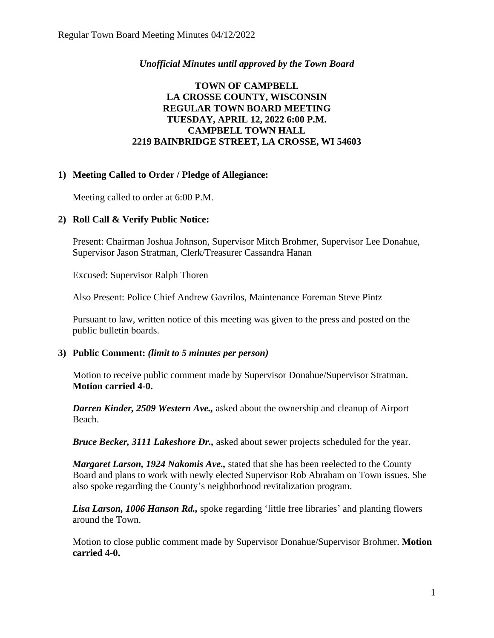## *Unofficial Minutes until approved by the Town Board*

## **TOWN OF CAMPBELL LA CROSSE COUNTY, WISCONSIN REGULAR TOWN BOARD MEETING TUESDAY, APRIL 12, 2022 6:00 P.M. CAMPBELL TOWN HALL 2219 BAINBRIDGE STREET, LA CROSSE, WI 54603**

## **1) Meeting Called to Order / Pledge of Allegiance:**

Meeting called to order at 6:00 P.M.

## **2) Roll Call & Verify Public Notice:**

Present: Chairman Joshua Johnson, Supervisor Mitch Brohmer, Supervisor Lee Donahue, Supervisor Jason Stratman, Clerk/Treasurer Cassandra Hanan

Excused: Supervisor Ralph Thoren

Also Present: Police Chief Andrew Gavrilos, Maintenance Foreman Steve Pintz

Pursuant to law, written notice of this meeting was given to the press and posted on the public bulletin boards.

#### **3) Public Comment:** *(limit to 5 minutes per person)*

Motion to receive public comment made by Supervisor Donahue/Supervisor Stratman. **Motion carried 4-0.**

*Darren Kinder, 2509 Western Ave.,* asked about the ownership and cleanup of Airport Beach.

*Bruce Becker, 3111 Lakeshore Dr.,* asked about sewer projects scheduled for the year.

*Margaret Larson, 1924 Nakomis Ave.,* stated that she has been reelected to the County Board and plans to work with newly elected Supervisor Rob Abraham on Town issues. She also spoke regarding the County's neighborhood revitalization program.

*Lisa Larson, 1006 Hanson Rd.,* spoke regarding 'little free libraries' and planting flowers around the Town.

Motion to close public comment made by Supervisor Donahue/Supervisor Brohmer. **Motion carried 4-0.**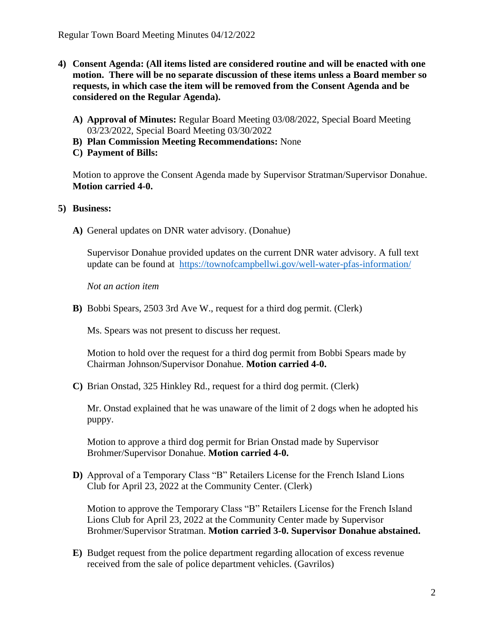- **4) Consent Agenda: (All items listed are considered routine and will be enacted with one motion. There will be no separate discussion of these items unless a Board member so requests, in which case the item will be removed from the Consent Agenda and be considered on the Regular Agenda).**
	- **A) Approval of Minutes:** Regular Board Meeting 03/08/2022, Special Board Meeting 03/23/2022, Special Board Meeting 03/30/2022
	- **B) Plan Commission Meeting Recommendations:** None
	- **C) Payment of Bills:**

Motion to approve the Consent Agenda made by Supervisor Stratman/Supervisor Donahue. **Motion carried 4-0.** 

#### **5) Business:**

**A)** General updates on DNR water advisory. (Donahue)

Supervisor Donahue provided updates on the current DNR water advisory. A full text update can be found at <https://townofcampbellwi.gov/well-water-pfas-information/>

*Not an action item*

**B)** Bobbi Spears, 2503 3rd Ave W., request for a third dog permit. (Clerk)

Ms. Spears was not present to discuss her request.

Motion to hold over the request for a third dog permit from Bobbi Spears made by Chairman Johnson/Supervisor Donahue. **Motion carried 4-0.**

**C)** Brian Onstad, 325 Hinkley Rd., request for a third dog permit. (Clerk)

Mr. Onstad explained that he was unaware of the limit of 2 dogs when he adopted his puppy.

Motion to approve a third dog permit for Brian Onstad made by Supervisor Brohmer/Supervisor Donahue. **Motion carried 4-0.**

**D)** Approval of a Temporary Class "B" Retailers License for the French Island Lions Club for April 23, 2022 at the Community Center. (Clerk)

Motion to approve the Temporary Class "B" Retailers License for the French Island Lions Club for April 23, 2022 at the Community Center made by Supervisor Brohmer/Supervisor Stratman. **Motion carried 3-0. Supervisor Donahue abstained.** 

**E)** Budget request from the police department regarding allocation of excess revenue received from the sale of police department vehicles. (Gavrilos)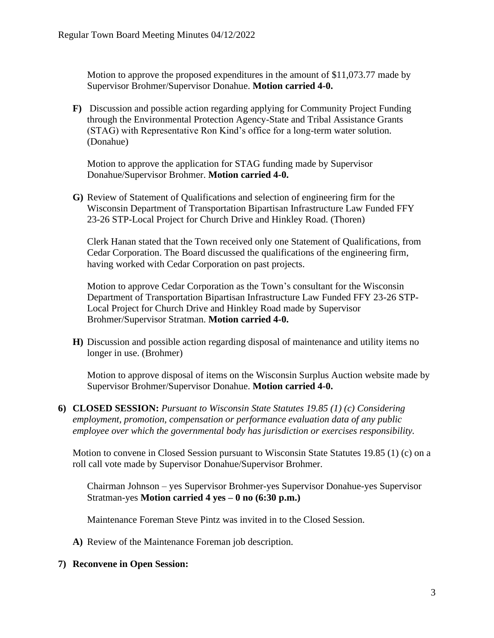Motion to approve the proposed expenditures in the amount of \$11,073.77 made by Supervisor Brohmer/Supervisor Donahue. **Motion carried 4-0.**

**F)** Discussion and possible action regarding applying for Community Project Funding through the Environmental Protection Agency-State and Tribal Assistance Grants (STAG) with Representative Ron Kind's office for a long-term water solution. (Donahue)

Motion to approve the application for STAG funding made by Supervisor Donahue/Supervisor Brohmer. **Motion carried 4-0.** 

**G)** Review of Statement of Qualifications and selection of engineering firm for the Wisconsin Department of Transportation Bipartisan Infrastructure Law Funded FFY 23-26 STP-Local Project for Church Drive and Hinkley Road. (Thoren)

Clerk Hanan stated that the Town received only one Statement of Qualifications, from Cedar Corporation. The Board discussed the qualifications of the engineering firm, having worked with Cedar Corporation on past projects.

Motion to approve Cedar Corporation as the Town's consultant for the Wisconsin Department of Transportation Bipartisan Infrastructure Law Funded FFY 23-26 STP-Local Project for Church Drive and Hinkley Road made by Supervisor Brohmer/Supervisor Stratman. **Motion carried 4-0.**

**H)** Discussion and possible action regarding disposal of maintenance and utility items no longer in use. (Brohmer)

Motion to approve disposal of items on the Wisconsin Surplus Auction website made by Supervisor Brohmer/Supervisor Donahue. **Motion carried 4-0.**

**6) CLOSED SESSION:** *Pursuant to Wisconsin State Statutes 19.85 (1) (c) Considering employment, promotion, compensation or performance evaluation data of any public employee over which the governmental body has jurisdiction or exercises responsibility.*

Motion to convene in Closed Session pursuant to Wisconsin State Statutes 19.85 (1) (c) on a roll call vote made by Supervisor Donahue/Supervisor Brohmer.

Chairman Johnson – yes Supervisor Brohmer-yes Supervisor Donahue-yes Supervisor Stratman-yes **Motion carried 4 yes – 0 no (6:30 p.m.)**

Maintenance Foreman Steve Pintz was invited in to the Closed Session.

**A)** Review of the Maintenance Foreman job description.

#### **7) Reconvene in Open Session:**